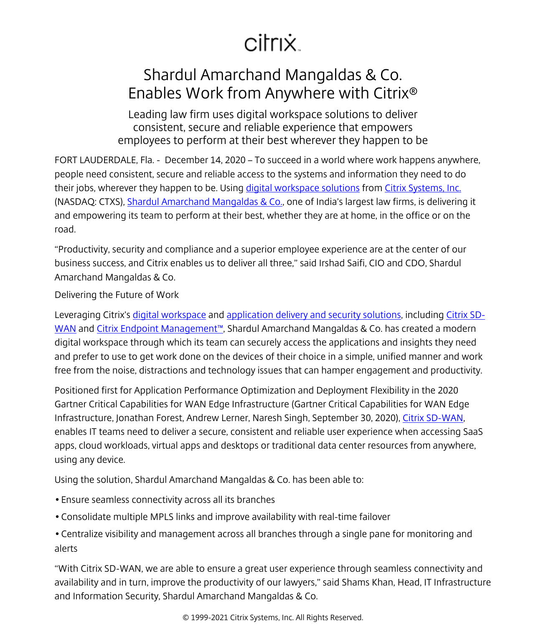## citrix.

## Shardul Amarchand Mangaldas & Co. Enables Work from Anywhere with Citrix®

Leading law firm uses digital workspace solutions to deliver consistent, secure and reliable experience that empowers employees to perform at their best wherever they happen to be

FORT LAUDERDALE, Fla. - December 14, 2020 – To succeed in a world where work happens anywhere, people need consistent, secure and reliable access to the systems and information they need to do their jobs, wherever they happen to be. Using [digital workspace solutions](/content/citrix/en-sg/products.html) from [Citrix Systems, Inc.](/content/citrix/en-sg/
            .html) (NASDAQ: CTXS), [Shardul Amarchand Mangaldas & Co.,](/content/citrix/en-sg/customers/shardul-amarchand-mangaldas-en.html) one of India's largest law firms, is delivering it and empowering its team to perform at their best, whether they are at home, in the office or on the road.

"Productivity, security and compliance and a superior employee experience are at the center of our business success, and Citrix enables us to deliver all three," said Irshad Saifi, CIO and CDO, Shardul Amarchand Mangaldas & Co.

Delivering the Future of Work

Leveraging Citrix's [digital workspace](/content/citrix/en-sg/products/citrix-workspace/
            .html) and [application delivery and security solutions,](/content/citrix/en-sg/solutions/app-delivery-and-security/
            .html) including [Citrix SD-](/content/citrix/en-sg/products/citrix-sd-wan/
            .html)[WAN](/content/citrix/en-sg/products/citrix-sd-wan/
            .html) and [Citrix Endpoint Management™,](/content/citrix/en-sg/solutions/unified-endpoint-management/
            .html) Shardul Amarchand Mangaldas & Co. has created a modern digital workspace through which its team can securely access the applications and insights they need and prefer to use to get work done on the devices of their choice in a simple, unified manner and work free from the noise, distractions and technology issues that can hamper engagement and productivity.

Positioned first for Application Performance Optimization and Deployment Flexibility in the 2020 Gartner Critical Capabilities for WAN Edge Infrastructure (Gartner Critical Capabilities for WAN Edge Infrastructure, Jonathan Forest, Andrew Lerner, Naresh Singh, September 30, 2020), [Citrix SD-WAN](/content/citrix/en-sg/products/citrix-sd-wan/
            .html), enables IT teams need to deliver a secure, consistent and reliable user experience when accessing SaaS apps, cloud workloads, virtual apps and desktops or traditional data center resources from anywhere, using any device.

Using the solution, Shardul Amarchand Mangaldas & Co. has been able to:

- Ensure seamless connectivity across all its branches
- Consolidate multiple MPLS links and improve availability with real-time failover
- Centralize visibility and management across all branches through a single pane for monitoring and alerts

"With Citrix SD-WAN, we are able to ensure a great user experience through seamless connectivity and availability and in turn, improve the productivity of our lawyers," said Shams Khan, Head, IT Infrastructure and Information Security, Shardul Amarchand Mangaldas & Co.

© 1999-2021 Citrix Systems, Inc. All Rights Reserved.